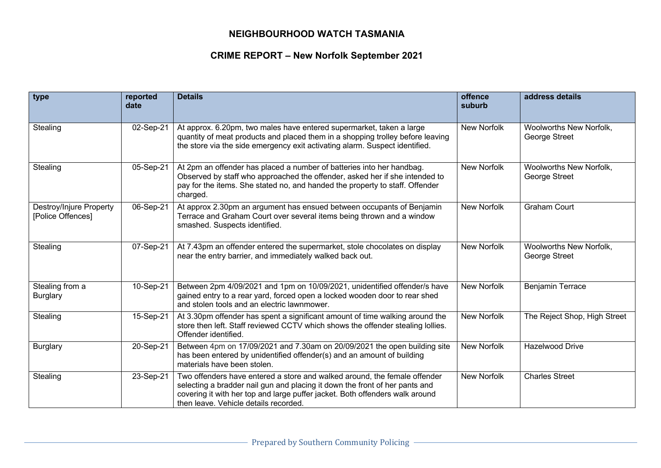## **NEIGHBOURHOOD WATCH TASMANIA**

## **CRIME REPORT – New Norfolk September 2021**

| type                                         | reported<br>date | <b>Details</b>                                                                                                                                                                                                                                                                    | offence<br>suburb  | address details                          |
|----------------------------------------------|------------------|-----------------------------------------------------------------------------------------------------------------------------------------------------------------------------------------------------------------------------------------------------------------------------------|--------------------|------------------------------------------|
| Stealing                                     | 02-Sep-21        | At approx. 6.20pm, two males have entered supermarket, taken a large<br>quantity of meat products and placed them in a shopping trolley before leaving<br>the store via the side emergency exit activating alarm. Suspect identified.                                             | <b>New Norfolk</b> | Woolworths New Norfolk,<br>George Street |
| Stealing                                     | 05-Sep-21        | At 2pm an offender has placed a number of batteries into her handbag.<br>Observed by staff who approached the offender, asked her if she intended to<br>pay for the items. She stated no, and handed the property to staff. Offender<br>charged.                                  | New Norfolk        | Woolworths New Norfolk,<br>George Street |
| Destroy/Injure Property<br>[Police Offences] | 06-Sep-21        | At approx 2.30pm an argument has ensued between occupants of Benjamin<br>Terrace and Graham Court over several items being thrown and a window<br>smashed. Suspects identified.                                                                                                   | New Norfolk        | <b>Graham Court</b>                      |
| Stealing                                     | 07-Sep-21        | At 7.43pm an offender entered the supermarket, stole chocolates on display<br>near the entry barrier, and immediately walked back out.                                                                                                                                            | New Norfolk        | Woolworths New Norfolk,<br>George Street |
| Stealing from a<br><b>Burglary</b>           | 10-Sep-21        | Between 2pm 4/09/2021 and 1pm on 10/09/2021, unidentified offender/s have<br>gained entry to a rear yard, forced open a locked wooden door to rear shed<br>and stolen tools and an electric lawnmower.                                                                            | New Norfolk        | <b>Benjamin Terrace</b>                  |
| Stealing                                     | 15-Sep-21        | At 3.30pm offender has spent a significant amount of time walking around the<br>store then left. Staff reviewed CCTV which shows the offender stealing lollies.<br>Offender identified.                                                                                           | <b>New Norfolk</b> | The Reject Shop, High Street             |
| Burglary                                     | 20-Sep-21        | Between 4pm on 17/09/2021 and 7.30am on 20/09/2021 the open building site<br>has been entered by unidentified offender(s) and an amount of building<br>materials have been stolen.                                                                                                | New Norfolk        | <b>Hazelwood Drive</b>                   |
| Stealing                                     | 23-Sep-21        | Two offenders have entered a store and walked around, the female offender<br>selecting a bradder nail gun and placing it down the front of her pants and<br>covering it with her top and large puffer jacket. Both offenders walk around<br>then leave. Vehicle details recorded. | <b>New Norfolk</b> | <b>Charles Street</b>                    |